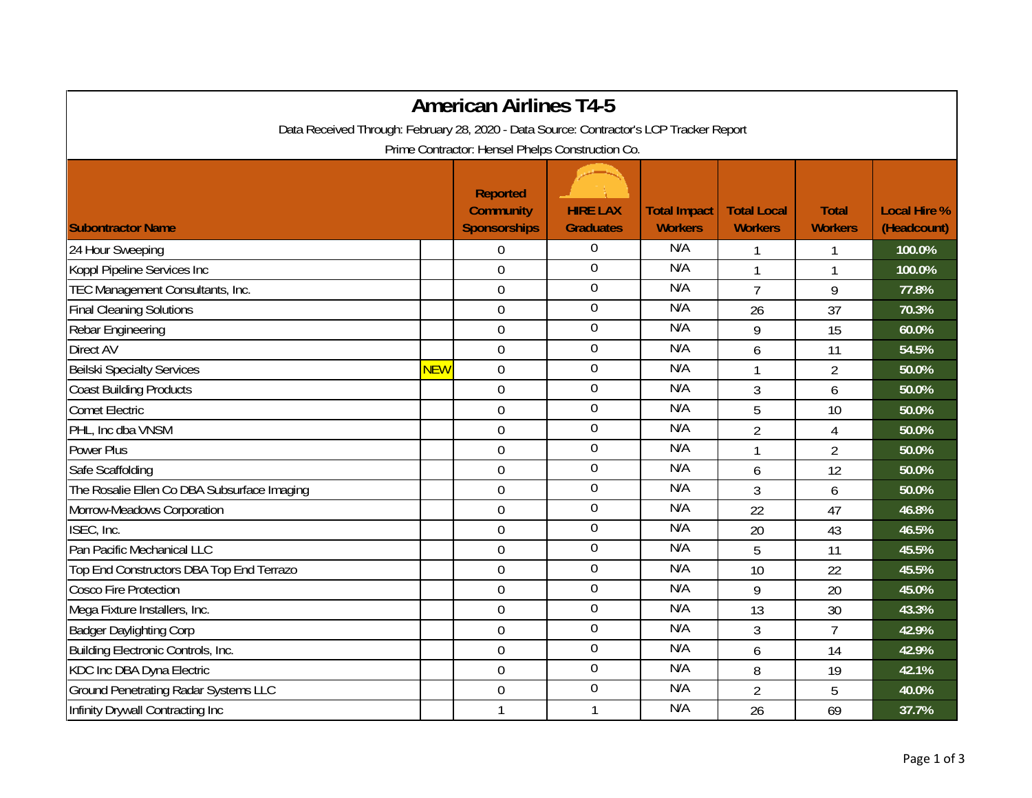| <b>American Airlines T4-5</b>                                                           |            |                                                            |                                     |                                       |                                      |                                |                                    |  |
|-----------------------------------------------------------------------------------------|------------|------------------------------------------------------------|-------------------------------------|---------------------------------------|--------------------------------------|--------------------------------|------------------------------------|--|
| Data Received Through: February 28, 2020 - Data Source: Contractor's LCP Tracker Report |            |                                                            |                                     |                                       |                                      |                                |                                    |  |
| Prime Contractor: Hensel Phelps Construction Co.                                        |            |                                                            |                                     |                                       |                                      |                                |                                    |  |
| <b>Subontractor Name</b>                                                                |            | <b>Reported</b><br><b>Community</b><br><b>Sponsorships</b> | <b>HIRE LAX</b><br><b>Graduates</b> | <b>Total Impact</b><br><b>Workers</b> | <b>Total Local</b><br><b>Workers</b> | <b>Total</b><br><b>Workers</b> | <b>Local Hire %</b><br>(Headcount) |  |
| 24 Hour Sweeping                                                                        |            | $\overline{0}$                                             | $\boldsymbol{0}$                    | N/A                                   |                                      | 1                              | 100.0%                             |  |
| Koppl Pipeline Services Inc                                                             |            | $\mathbf 0$                                                | $\overline{0}$                      | N/A                                   | 1                                    | 1                              | 100.0%                             |  |
| TEC Management Consultants, Inc.                                                        |            | $\mathbf 0$                                                | $\boldsymbol{0}$                    | N/A                                   | $\overline{7}$                       | 9                              | 77.8%                              |  |
| <b>Final Cleaning Solutions</b>                                                         |            | $\mathbf 0$                                                | $\boldsymbol{0}$                    | N/A                                   | 26                                   | 37                             | 70.3%                              |  |
| Rebar Engineering                                                                       |            | $\boldsymbol{0}$                                           | $\boldsymbol{0}$                    | N/A                                   | 9                                    | 15                             | 60.0%                              |  |
| <b>Direct AV</b>                                                                        |            | $\mathbf 0$                                                | $\boldsymbol{0}$                    | N/A                                   | 6                                    | 11                             | 54.5%                              |  |
| <b>Beilski Specialty Services</b>                                                       | <b>NEW</b> | $\mathbf 0$                                                | $\boldsymbol{0}$                    | N/A                                   | 1                                    | $\overline{2}$                 | 50.0%                              |  |
| <b>Coast Building Products</b>                                                          |            | $\overline{0}$                                             | $\mathbf 0$                         | N/A                                   | 3                                    | 6                              | 50.0%                              |  |
| <b>Comet Electric</b>                                                                   |            | $\mathbf 0$                                                | $\boldsymbol{0}$                    | N/A                                   | 5                                    | 10                             | 50.0%                              |  |
| PHL, Inc dba VNSM                                                                       |            | $\boldsymbol{0}$                                           | $\boldsymbol{0}$                    | N/A                                   | $\overline{2}$                       | $\overline{4}$                 | 50.0%                              |  |
| <b>Power Plus</b>                                                                       |            | $\boldsymbol{0}$                                           | $\overline{0}$                      | N/A                                   | $\mathbf{1}$                         | $\overline{2}$                 | 50.0%                              |  |
| Safe Scaffolding                                                                        |            | $\mathbf 0$                                                | $\overline{0}$                      | N/A                                   | 6                                    | 12                             | 50.0%                              |  |
| The Rosalie Ellen Co DBA Subsurface Imaging                                             |            | $\mathbf 0$                                                | $\boldsymbol{0}$                    | N/A                                   | 3                                    | 6                              | 50.0%                              |  |
| Morrow-Meadows Corporation                                                              |            | $\overline{0}$                                             | $\mathbf 0$                         | N/A                                   | 22                                   | 47                             | 46.8%                              |  |
| ISEC, Inc.                                                                              |            | $\mathbf 0$                                                | $\boldsymbol{0}$                    | N/A                                   | 20                                   | 43                             | 46.5%                              |  |
| Pan Pacific Mechanical LLC                                                              |            | $\boldsymbol{0}$                                           | $\boldsymbol{0}$                    | N/A                                   | 5                                    | 11                             | 45.5%                              |  |
| Top End Constructors DBA Top End Terrazo                                                |            | $\mathbf 0$                                                | $\boldsymbol{0}$                    | N/A                                   | 10                                   | 22                             | 45.5%                              |  |
| <b>Cosco Fire Protection</b>                                                            |            | $\mathbf 0$                                                | $\overline{0}$                      | N/A                                   | 9                                    | 20                             | 45.0%                              |  |
| Mega Fixture Installers, Inc.                                                           |            | $\mathbf 0$                                                | $\overline{0}$                      | N/A                                   | 13                                   | 30                             | 43.3%                              |  |
| <b>Badger Daylighting Corp</b>                                                          |            | $\overline{0}$                                             | $\boldsymbol{0}$                    | N/A                                   | $\overline{3}$                       | $\overline{7}$                 | 42.9%                              |  |
| Building Electronic Controls, Inc.                                                      |            | $\mathbf 0$                                                | $\mathbf 0$                         | N/A                                   | 6                                    | 14                             | 42.9%                              |  |
| KDC Inc DBA Dyna Electric                                                               |            | $\mathbf 0$                                                | $\boldsymbol{0}$                    | N/A                                   | 8                                    | 19                             | 42.1%                              |  |
| <b>Ground Penetrating Radar Systems LLC</b>                                             |            | $\mathbf 0$                                                | $\boldsymbol{0}$                    | N/A                                   | $\overline{2}$                       | 5                              | 40.0%                              |  |
| Infinity Drywall Contracting Inc                                                        |            | 1                                                          | $\mathbf{1}$                        | N/A                                   | 26                                   | 69                             | 37.7%                              |  |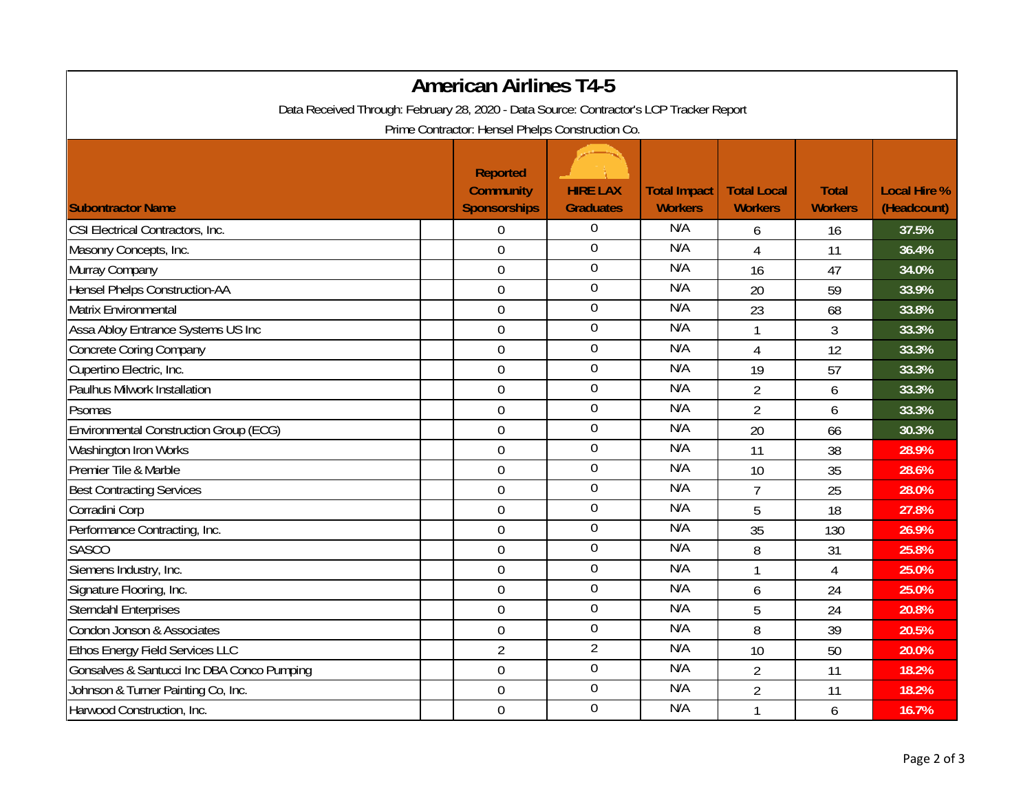| <b>American Airlines T4-5</b>                                                           |                                                            |                                     |                                       |                                      |                                |                                    |  |  |
|-----------------------------------------------------------------------------------------|------------------------------------------------------------|-------------------------------------|---------------------------------------|--------------------------------------|--------------------------------|------------------------------------|--|--|
| Data Received Through: February 28, 2020 - Data Source: Contractor's LCP Tracker Report |                                                            |                                     |                                       |                                      |                                |                                    |  |  |
| Prime Contractor: Hensel Phelps Construction Co.                                        |                                                            |                                     |                                       |                                      |                                |                                    |  |  |
| <b>Subontractor Name</b>                                                                | <b>Reported</b><br><b>Community</b><br><b>Sponsorships</b> | <b>HIRE LAX</b><br><b>Graduates</b> | <b>Total Impact</b><br><b>Workers</b> | <b>Total Local</b><br><b>Workers</b> | <b>Total</b><br><b>Workers</b> | <b>Local Hire %</b><br>(Headcount) |  |  |
| CSI Electrical Contractors, Inc.                                                        | $\boldsymbol{0}$                                           | 0                                   | N/A                                   | 6                                    | 16                             | 37.5%                              |  |  |
| Masonry Concepts, Inc.                                                                  | $\mathbf 0$                                                | $\mathbf 0$                         | N/A                                   | 4                                    | 11                             | 36.4%                              |  |  |
| Murray Company                                                                          | $\mathbf 0$                                                | $\boldsymbol{0}$                    | N/A                                   | 16                                   | 47                             | 34.0%                              |  |  |
| <b>Hensel Phelps Construction-AA</b>                                                    | $\boldsymbol{0}$                                           | $\boldsymbol{0}$                    | N/A                                   | 20                                   | 59                             | 33.9%                              |  |  |
| Matrix Environmental                                                                    | $\boldsymbol{0}$                                           | $\boldsymbol{0}$                    | N/A                                   | 23                                   | 68                             | 33.8%                              |  |  |
| Assa Abloy Entrance Systems US Inc                                                      | $\overline{0}$                                             | $\boldsymbol{0}$                    | N/A                                   | $\mathbf{1}$                         | 3                              | 33.3%                              |  |  |
| <b>Concrete Coring Company</b>                                                          | $\boldsymbol{0}$                                           | $\boldsymbol{0}$                    | N/A                                   | 4                                    | 12                             | 33.3%                              |  |  |
| Cupertino Electric, Inc.                                                                | $\boldsymbol{0}$                                           | $\boldsymbol{0}$                    | N/A                                   | 19                                   | 57                             | 33.3%                              |  |  |
| Paulhus Milwork Installation                                                            | $\overline{0}$                                             | $\overline{0}$                      | N/A                                   | $\overline{2}$                       | 6                              | 33.3%                              |  |  |
| Psomas                                                                                  | $\mathbf 0$                                                | $\boldsymbol{0}$                    | N/A                                   | $\overline{2}$                       | 6                              | 33.3%                              |  |  |
| <b>Environmental Construction Group (ECG)</b>                                           | $\overline{0}$                                             | $\boldsymbol{0}$                    | N/A                                   | 20                                   | 66                             | 30.3%                              |  |  |
| Washington Iron Works                                                                   | $\overline{0}$                                             | $\boldsymbol{0}$                    | N/A                                   | 11                                   | 38                             | 28.9%                              |  |  |
| Premier Tile & Marble                                                                   | $\mathbf 0$                                                | $\boldsymbol{0}$                    | N/A                                   | 10                                   | 35                             | 28.6%                              |  |  |
| <b>Best Contracting Services</b>                                                        | $\mathbf 0$                                                | $\boldsymbol{0}$                    | N/A                                   | $\overline{7}$                       | 25                             | 28.0%                              |  |  |
| Corradini Corp                                                                          | $\boldsymbol{0}$                                           | $\boldsymbol{0}$                    | N/A                                   | 5                                    | 18                             | 27.8%                              |  |  |
| Performance Contracting, Inc.                                                           | $\overline{0}$                                             | $\mathbf 0$                         | N/A                                   | 35                                   | 130                            | 26.9%                              |  |  |
| <b>SASCO</b>                                                                            | $\boldsymbol{0}$                                           | $\mathbf 0$                         | N/A                                   | 8                                    | 31                             | 25.8%                              |  |  |
| Siemens Industry, Inc.                                                                  | $\mathbf 0$                                                | $\mathbf 0$                         | N/A                                   |                                      | $\overline{4}$                 | 25.0%                              |  |  |
| Signature Flooring, Inc.                                                                | $\overline{0}$                                             | $\boldsymbol{0}$                    | N/A                                   | 6                                    | 24                             | 25.0%                              |  |  |
| <b>Sterndahl Enterprises</b>                                                            | $\boldsymbol{0}$                                           | $\overline{0}$                      | N/A                                   | 5                                    | 24                             | 20.8%                              |  |  |
| Condon Jonson & Associates                                                              | $\boldsymbol{0}$                                           | $\boldsymbol{0}$                    | N/A                                   | 8                                    | 39                             | 20.5%                              |  |  |
| <b>Ethos Energy Field Services LLC</b>                                                  | $\overline{2}$                                             | $\overline{2}$                      | N/A                                   | 10                                   | 50                             | 20.0%                              |  |  |
| Gonsalves & Santucci Inc DBA Conco Pumping                                              | $\mathbf 0$                                                | $\boldsymbol{0}$                    | N/A                                   | $\overline{2}$                       | 11                             | 18.2%                              |  |  |
| Johnson & Turner Painting Co, Inc.                                                      | $\mathbf 0$                                                | $\overline{0}$                      | N/A                                   | $\overline{2}$                       | 11                             | 18.2%                              |  |  |
| Harwood Construction, Inc.                                                              | $\mathbf 0$                                                | $\boldsymbol{0}$                    | N/A                                   |                                      | 6                              | 16.7%                              |  |  |